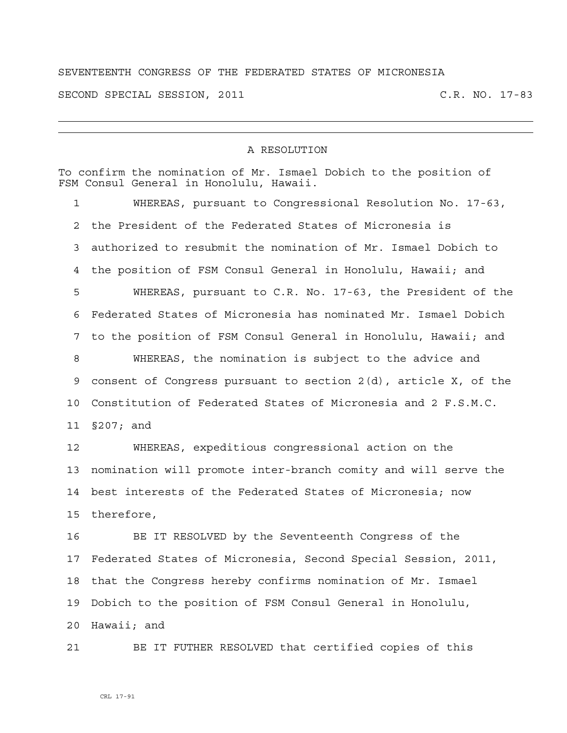## SEVENTEENTH CONGRESS OF THE FEDERATED STATES OF MICRONESIA

SECOND SPECIAL SESSION, 2011 C.R. NO. 17-83

## A RESOLUTION

To confirm the nomination of Mr. Ismael Dobich to the position of FSM Consul General in Honolulu, Hawaii.

1 WHEREAS, pursuant to Congressional Resolution No. 17-63, 2 the President of the Federated States of Micronesia is 3 authorized to resubmit the nomination of Mr. Ismael Dobich to 4 the position of FSM Consul General in Honolulu, Hawaii; and 5 WHEREAS, pursuant to C.R. No. 17-63, the President of the 6 Federated States of Micronesia has nominated Mr. Ismael Dobich 7 to the position of FSM Consul General in Honolulu, Hawaii; and 8 WHEREAS, the nomination is subject to the advice and 9 consent of Congress pursuant to section 2(d), article X, of the 10 Constitution of Federated States of Micronesia and 2 F.S.M.C. 11 §207; and

12 WHEREAS, expeditious congressional action on the 13 nomination will promote inter-branch comity and will serve the 14 best interests of the Federated States of Micronesia; now 15 therefore,

16 BE IT RESOLVED by the Seventeenth Congress of the 17 Federated States of Micronesia, Second Special Session, 2011, 18 that the Congress hereby confirms nomination of Mr. Ismael 19 Dobich to the position of FSM Consul General in Honolulu, 20 Hawaii; and

21 BE IT FUTHER RESOLVED that certified copies of this